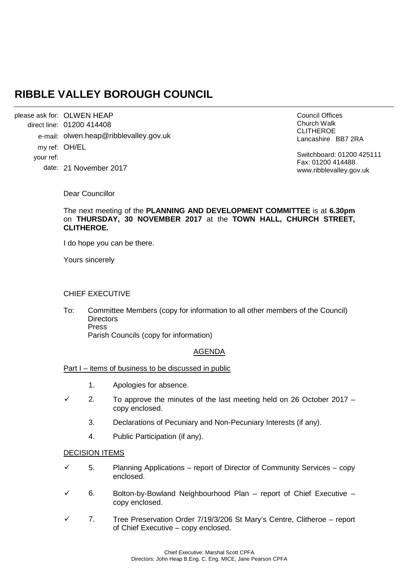# **RIBBLE VALLEY BOROUGH COUNCIL**

please ask for: OLWEN HEAP 01200 414408 direct line: e-mail: olwen.heap@ribblevalley.gov.uk my ref: OH/EL 21 November 2017 date: your ref:

Council Offices Church Walk CLITHEROE Lancashire BB7 2RA

Switchboard: 01200 425111 Fax: 01200 414488 www.ribblevalley.gov.uk

Dear Councillor

The next meeting of the **PLANNING AND DEVELOPMENT COMMITTEE** is at **6.30pm**  on **THURSDAY, 30 NOVEMBER 2017** at the **TOWN HALL, CHURCH STREET, CLITHEROE.**

I do hope you can be there.

Yours sincerely

## CHIEF EXECUTIVE

To: Committee Members (copy for information to all other members of the Council) **Directors** Press Parish Councils (copy for information)

# AGENDA

Part I – items of business to be discussed in public

- 1. Apologies for absence.
- $\checkmark$  2. To approve the minutes of the last meeting held on 26 October 2017 copy enclosed.
	- 3. Declarations of Pecuniary and Non-Pecuniary Interests (if any).
	- 4. Public Participation (if any).

#### DECISION ITEMS

- 5. Planning Applications report of Director of Community Services copy enclosed.
- 6. Bolton-by-Bowland Neighbourhood Plan report of Chief Executive copy enclosed.
- 7. Tree Preservation Order 7/19/3/206 St Mary's Centre, Clitheroe report of Chief Executive – copy enclosed.